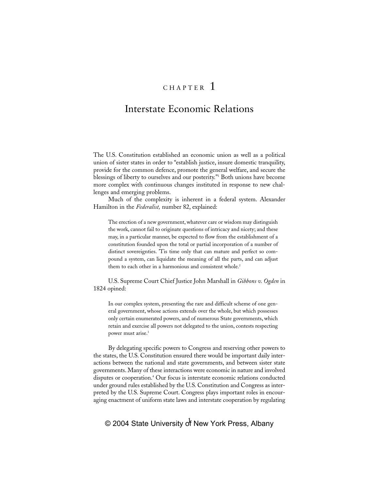# CHAPTER 1

# Interstate Economic Relations

The U.S. Constitution established an economic union as well as a political union of sister states in order to "establish justice, insure domestic tranquility, provide for the common defence, promote the general welfare, and secure the blessings of liberty to ourselves and our posterity."1 Both unions have become more complex with continuous changes instituted in response to new challenges and emerging problems.

Much of the complexity is inherent in a federal system. Alexander Hamilton in the *Federalist,* number 82, explained:

The erection of a new government, whatever care or wisdom may distinguish the work, cannot fail to originate questions of intricacy and nicety; and these may, in a particular manner, be expected to flow from the establishment of a constitution founded upon the total or partial incorporation of a number of distinct sovereignties. 'Tis time only that can mature and perfect so compound a system, can liquidate the meaning of all the parts, and can adjust them to each other in a harmonious and consistent whole.<sup>2</sup>

U.S. Supreme Court Chief Justice John Marshall in *Gibbons v. Ogden* in 1824 opined:

In our complex system, presenting the rare and difficult scheme of one general government, whose actions extends over the whole, but which possesses only certain enumerated powers, and of numerous State governments, which retain and exercise all powers not delegated to the union, contests respecting power must arise.<sup>3</sup>

By delegating specific powers to Congress and reserving other powers to the states, the U.S. Constitution ensured there would be important daily interactions between the national and state governments, and between sister state governments. Many of these interactions were economic in nature and involved disputes or cooperation.4 Our focus is interstate economic relations conducted under ground rules established by the U.S. Constitution and Congress as interpreted by the U.S. Supreme Court. Congress plays important roles in encouraging enactment of uniform state laws and interstate cooperation by regulating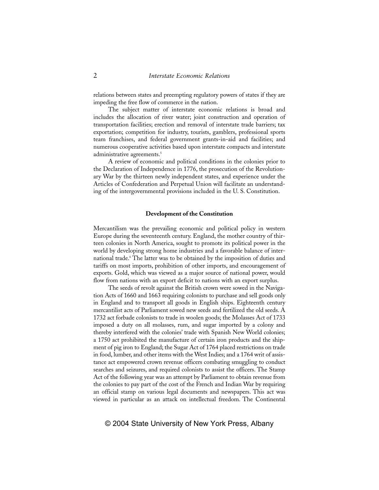relations between states and preempting regulatory powers of states if they are impeding the free flow of commerce in the nation.

The subject matter of interstate economic relations is broad and includes the allocation of river water; joint construction and operation of transportation facilities; erection and removal of interstate trade barriers; tax exportation; competition for industry, tourists, gamblers, professional sports team franchises, and federal government grants-in-aid and facilities; and numerous cooperative activities based upon interstate compacts and interstate administrative agreements.<sup>5</sup>

A review of economic and political conditions in the colonies prior to the Declaration of Independence in 1776, the prosecution of the Revolutionary War by the thirteen newly independent states, and experience under the Articles of Confederation and Perpetual Union will facilitate an understanding of the intergovernmental provisions included in the U. S. Constitution.

### **Development of the Constitution**

Mercantilism was the prevailing economic and political policy in western Europe during the seventeenth century. England, the mother country of thirteen colonies in North America, sought to promote its political power in the world by developing strong home industries and a favorable balance of international trade.<sup>6</sup> The latter was to be obtained by the imposition of duties and tariffs on most imports, prohibition of other imports, and encouragement of exports. Gold, which was viewed as a major source of national power, would flow from nations with an export deficit to nations with an export surplus.

The seeds of revolt against the British crown were sowed in the Navigation Acts of 1660 and 1663 requiring colonists to purchase and sell goods only in England and to transport all goods in English ships. Eighteenth century mercantilist acts of Parliament sowed new seeds and fertilized the old seeds. A 1732 act forbade colonists to trade in woolen goods; the Molasses Act of 1733 imposed a duty on all molasses, rum, and sugar imported by a colony and thereby interfered with the colonies' trade with Spanish New World colonies; a 1750 act prohibited the manufacture of certain iron products and the shipment of pig iron to England; the Sugar Act of 1764 placed restrictions on trade in food, lumber, and other items with the West Indies; and a 1764 writ of assistance act empowered crown revenue officers combating smuggling to conduct searches and seizures, and required colonists to assist the officers. The Stamp Act of the following year was an attempt by Parliament to obtain revenue from the colonies to pay part of the cost of the French and Indian War by requiring an official stamp on various legal documents and newspapers. This act was viewed in particular as an attack on intellectual freedom. The Continental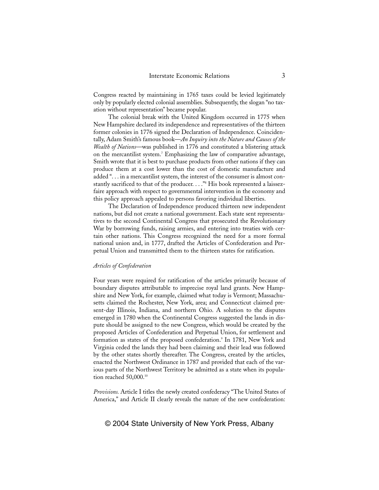Congress reacted by maintaining in 1765 taxes could be levied legitimately only by popularly elected colonial assemblies. Subsequently, the slogan "no taxation without representation" became popular.

The colonial break with the United Kingdom occurred in 1775 when New Hampshire declared its independence and representatives of the thirteen former colonies in 1776 signed the Declaration of Independence. Coincidentally, Adam Smith's famous book—*An Inquiry into the Nature and Causes of the Wealth of Nations*—was published in 1776 and constituted a blistering attack on the mercantilist system.7 Emphasizing the law of comparative advantage, Smith wrote that it is best to purchase products from other nations if they can produce them at a cost lower than the cost of domestic manufacture and added ". . . in a mercantilist system, the interest of the consumer is almost constantly sacrificed to that of the producer. . . ."8 His book represented a laissezfaire approach with respect to governmental intervention in the economy and this policy approach appealed to persons favoring individual liberties.

The Declaration of Independence produced thirteen new independent nations, but did not create a national government. Each state sent representatives to the second Continental Congress that prosecuted the Revolutionary War by borrowing funds, raising armies, and entering into treaties with certain other nations. This Congress recognized the need for a more formal national union and, in 1777, drafted the Articles of Confederation and Perpetual Union and transmitted them to the thirteen states for ratification.

### *Articles of Confederation*

Four years were required for ratification of the articles primarily because of boundary disputes attributable to imprecise royal land grants. New Hampshire and New York, for example, claimed what today is Vermont; Massachusetts claimed the Rochester, New York, area; and Connecticut claimed present-day Illinois, Indiana, and northern Ohio. A solution to the disputes emerged in 1780 when the Continental Congress suggested the lands in dispute should be assigned to the new Congress, which would be created by the proposed Articles of Confederation and Perpetual Union, for settlement and formation as states of the proposed confederation.<sup>9</sup> In 1781, New York and Virginia ceded the lands they had been claiming and their lead was followed by the other states shortly thereafter. The Congress, created by the articles, enacted the Northwest Ordinance in 1787 and provided that each of the various parts of the Northwest Territory be admitted as a state when its population reached 50,000.<sup>10</sup>

*Provisions.* Article I titles the newly created confederacy "The United States of America," and Article II clearly reveals the nature of the new confederation: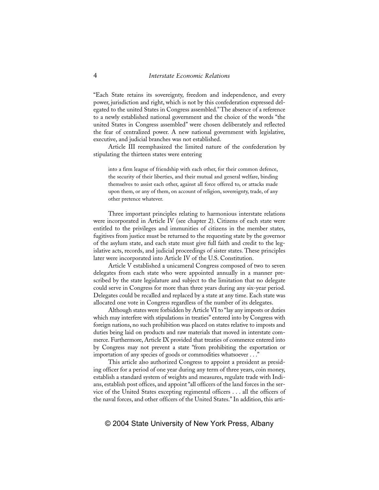"Each State retains its sovereignty, freedom and independence, and every power, jurisdiction and right, which is not by this confederation expressed delegated to the united States in Congress assembled." The absence of a reference to a newly established national government and the choice of the words "the united States in Congress assembled" were chosen deliberately and reflected the fear of centralized power. A new national government with legislative, executive, and judicial branches was not established.

Article III reemphasized the limited nature of the confederation by stipulating the thirteen states were entering

into a firm league of friendship with each other, for their common defence, the security of their liberties, and their mutual and general welfare, binding themselves to assist each other, against all force offered to, or attacks made upon them, or any of them, on account of religion, sovereignty, trade, of any other pretence whatever.

Three important principles relating to harmonious interstate relations were incorporated in Article IV (see chapter 2). Citizens of each state were entitled to the privileges and immunities of citizens in the member states, fugitives from justice must be returned to the requesting state by the governor of the asylum state, and each state must give full faith and credit to the legislative acts, records, and judicial proceedings of sister states. These principles later were incorporated into Article IV of the U.S. Constitution.

Article V established a unicameral Congress composed of two to seven delegates from each state who were appointed annually in a manner prescribed by the state legislature and subject to the limitation that no delegate could serve in Congress for more than three years during any six-year period. Delegates could be recalled and replaced by a state at any time. Each state was allocated one vote in Congress regardless of the number of its delegates.

Although states were forbidden by Article VI to "lay any imposts or duties which may interfere with stipulations in treaties" entered into by Congress with foreign nations, no such prohibition was placed on states relative to imposts and duties being laid on products and raw materials that moved in interstate commerce. Furthermore, Article IX provided that treaties of commerce entered into by Congress may not prevent a state "from prohibiting the exportation or importation of any species of goods or commodities whatsoever . . ."

This article also authorized Congress to appoint a president as presiding officer for a period of one year during any term of three years, coin money, establish a standard system of weights and measures, regulate trade with Indians, establish post offices, and appoint "all officers of the land forces in the service of the United States excepting regimental officers . . . all the officers of the naval forces, and other officers of the United States." In addition, this arti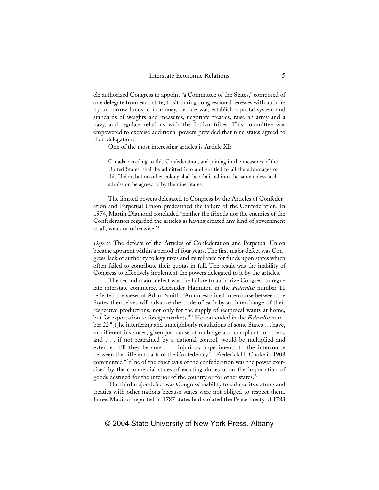cle authorized Congress to appoint "a Committee of the States," composed of one delegate from each state, to sit during congressional recesses with authority to borrow funds, coin money, declare war, establish a postal system and standards of weights and measures, negotiate treaties, raise an army and a navy, and regulate relations with the Indian tribes. This committee was empowered to exercise additional powers provided that nine states agreed to their delegation.

One of the most interesting articles is Article XI:

Canada, acceding to this Confederation, and joining in the measures of the United States, shall be admitted into and entitled to all the advantages of this Union, but no other colony shall be admitted into the same unless such admission be agreed to by the nine States.

The limited powers delegated to Congress by the Articles of Confederation and Perpetual Union predestined the failure of the Confederation. In 1974, Martin Diamond concluded "neither the friends nor the enemies of the Confederation regarded the articles as having created any kind of government at all, weak or otherwise."11

*Defects.* The defects of the Articles of Confederation and Perpetual Union became apparent within a period of four years. The first major defect was Congress' lack of authority to levy taxes and its reliance for funds upon states which often failed to contribute their quotas in full. The result was the inability of Congress to effectively implement the powers delegated to it by the articles.

The second major defect was the failure to authorize Congress to regulate interstate commerce. Alexander Hamilton in the *Federalist* number 11 reflected the views of Adam Smith: "An unrestrained intercourse between the States themselves will advance the trade of each by an interchange of their respective productions, not only for the supply of reciprocal wants at home, but for exportation to foreign markets."12 He contended in the *Federalist* number 22 "[t]he interfering and unneighborly regulations of some States . . . have, in different instances, given just cause of umbrage and complaint to others, and . . . if not restrained by a national control, would be multiplied and extended till they became . . . injurious impediments to the intercourse between the different parts of the Confederacy."13 Frederick H. Cooke in 1908 commented "[o]ne of the chief evils of the confederation was the power exercised by the commercial states of exacting duties upon the importation of goods destined for the interior of the country or for other states."14

The third major defect was Congress' inability to enforce its statutes and treaties with other nations because states were not obliged to respect them. James Madison reported in 1787 states had violated the Peace Treaty of 1783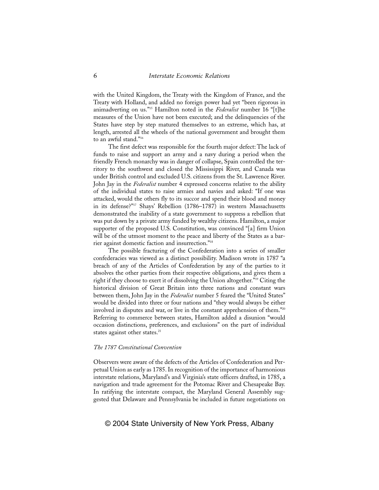with the United Kingdom, the Treaty with the Kingdom of France, and the Treaty with Holland, and added no foreign power had yet "been rigorous in animadverting on us."15 Hamilton noted in the *Federalist* number 16 "[t]he measures of the Union have not been executed; and the delinquencies of the States have step by step matured themselves to an extreme, which has, at length, arrested all the wheels of the national government and brought them to an awful stand."16

The first defect was responsible for the fourth major defect: The lack of funds to raise and support an army and a navy during a period when the friendly French monarchy was in danger of collapse, Spain controlled the territory to the southwest and closed the Mississippi River, and Canada was under British control and excluded U.S. citizens from the St. Lawrence River. John Jay in the *Federalist* number 4 expressed concerns relative to the ability of the individual states to raise armies and navies and asked: "If one was attacked, would the others fly to its succor and spend their blood and money in its defense?"17 Shays' Rebellion (1786–1787) in western Massachusetts demonstrated the inability of a state government to suppress a rebellion that was put down by a private army funded by wealthy citizens. Hamilton, a major supporter of the proposed U.S. Constitution, was convinced "[a] firm Union will be of the utmost moment to the peace and liberty of the States as a barrier against domestic faction and insurrection."18

The possible fracturing of the Confederation into a series of smaller confederacies was viewed as a distinct possibility. Madison wrote in 1787 "a breach of any of the Articles of Confederation by any of the parties to it absolves the other parties from their respective obligations, and gives them a right if they choose to exert it of dissolving the Union altogether."19 Citing the historical division of Great Britain into three nations and constant wars between them, John Jay in the *Federalist* number 5 feared the "United States" would be divided into three or four nations and "they would always be either involved in disputes and war, or live in the constant apprehension of them."20 Referring to commerce between states, Hamilton added a disunion "would occasion distinctions, preferences, and exclusions" on the part of individual states against other states.<sup>21</sup>

### *The 1787 Constitutional Convention*

Observers were aware of the defects of the Articles of Confederation and Perpetual Union as early as 1785. In recognition of the importance of harmonious interstate relations, Maryland's and Virginia's state officers drafted, in 1785, a navigation and trade agreement for the Potomac River and Chesapeake Bay. In ratifying the interstate compact, the Maryland General Assembly suggested that Delaware and Pennsylvania be included in future negotiations on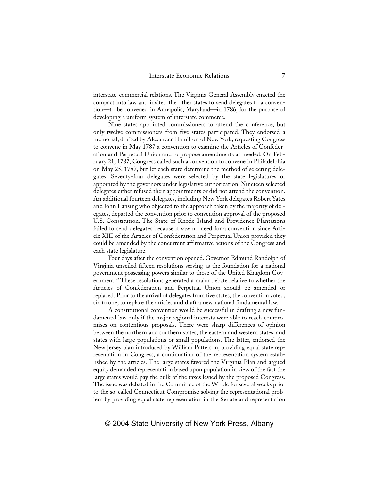interstate-commercial relations. The Virginia General Assembly enacted the compact into law and invited the other states to send delegates to a convention—to be convened in Annapolis, Maryland—in 1786, for the purpose of developing a uniform system of interstate commerce.

Nine states appointed commissioners to attend the conference, but only twelve commissioners from five states participated. They endorsed a memorial, drafted by Alexander Hamilton of New York, requesting Congress to convene in May 1787 a convention to examine the Articles of Confederation and Perpetual Union and to propose amendments as needed. On February 21, 1787, Congress called such a convention to convene in Philadelphia on May 25, 1787, but let each state determine the method of selecting delegates. Seventy-four delegates were selected by the state legislatures or appointed by the governors under legislative authorization. Nineteen selected delegates either refused their appointments or did not attend the convention. An additional fourteen delegates, including New York delegates Robert Yates and John Lansing who objected to the approach taken by the majority of delegates, departed the convention prior to convention approval of the proposed U.S. Constitution. The State of Rhode Island and Providence Plantations failed to send delegates because it saw no need for a convention since Article XIII of the Articles of Confederation and Perpetual Union provided they could be amended by the concurrent affirmative actions of the Congress and each state legislature.

Four days after the convention opened. Governor Edmund Randolph of Virginia unveiled fifteen resolutions serving as the foundation for a national government possessing powers similar to those of the United Kingdom Government.<sup>22</sup> These resolutions generated a major debate relative to whether the Articles of Confederation and Perpetual Union should be amended or replaced. Prior to the arrival of delegates from five states, the convention voted, six to one, to replace the articles and draft a new national fundamental law.

A constitutional convention would be successful in drafting a new fundamental law only if the major regional interests were able to reach compromises on contentious proposals. There were sharp differences of opinion between the northern and southern states, the eastern and western states, and states with large populations or small populations. The latter, endorsed the New Jersey plan introduced by William Patterson, providing equal state representation in Congress, a continuation of the representation system established by the articles. The large states favored the Virginia Plan and argued equity demanded representation based upon population in view of the fact the large states would pay the bulk of the taxes levied by the proposed Congress. The issue was debated in the Committee of the Whole for several weeks prior to the so-called Connecticut Compromise solving the representational problem by providing equal state representation in the Senate and representation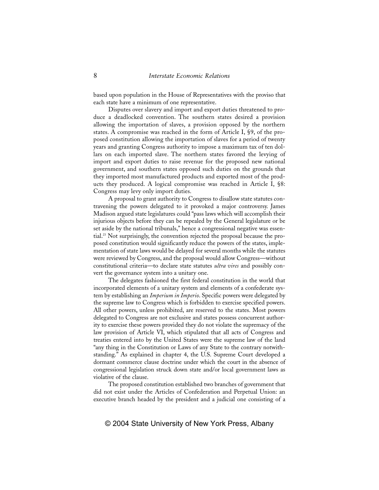based upon population in the House of Representatives with the proviso that each state have a minimum of one representative.

Disputes over slavery and import and export duties threatened to produce a deadlocked convention. The southern states desired a provision allowing the importation of slaves, a provision opposed by the northern states. A compromise was reached in the form of Article I, §9, of the proposed constitution allowing the importation of slaves for a period of twenty years and granting Congress authority to impose a maximum tax of ten dollars on each imported slave. The northern states favored the levying of import and export duties to raise revenue for the proposed new national government, and southern states opposed such duties on the grounds that they imported most manufactured products and exported most of the products they produced. A logical compromise was reached in Article I, §8: Congress may levy only import duties.

A proposal to grant authority to Congress to disallow state statutes contravening the powers delegated to it provoked a major controversy. James Madison argued state legislatures could "pass laws which will accomplish their injurious objects before they can be repealed by the General legislature or be set aside by the national tribunals," hence a congressional negative was essential.23 Not surprisingly, the convention rejected the proposal because the proposed constitution would significantly reduce the powers of the states, implementation of state laws would be delayed for several months while the statutes were reviewed by Congress, and the proposal would allow Congress—without constitutional criteria—to declare state statutes *ultra vires* and possibly convert the governance system into a unitary one.

The delegates fashioned the first federal constitution in the world that incorporated elements of a unitary system and elements of a confederate system by establishing an *Imperium in Imperio*. Specific powers were delegated by the supreme law to Congress which is forbidden to exercise specified powers. All other powers, unless prohibited, are reserved to the states. Most powers delegated to Congress are not exclusive and states possess concurrent authority to exercise these powers provided they do not violate the supremacy of the law provision of Article VI, which stipulated that all acts of Congress and treaties entered into by the United States were the supreme law of the land "any thing in the Constitution or Laws of any State to the contrary notwithstanding." As explained in chapter 4, the U.S. Supreme Court developed a dormant commerce clause doctrine under which the court in the absence of congressional legislation struck down state and/or local government laws as violative of the clause.

The proposed constitution established two branches of government that did not exist under the Articles of Confederation and Perpetual Union: an executive branch headed by the president and a judicial one consisting of a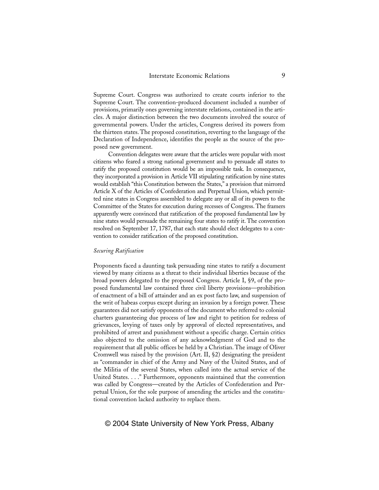Supreme Court. Congress was authorized to create courts inferior to the Supreme Court. The convention-produced document included a number of provisions, primarily ones governing interstate relations, contained in the articles. A major distinction between the two documents involved the source of governmental powers. Under the articles, Congress derived its powers from the thirteen states. The proposed constitution, reverting to the language of the Declaration of Independence, identifies the people as the source of the proposed new government.

Convention delegates were aware that the articles were popular with most citizens who feared a strong national government and to persuade all states to ratify the proposed constitution would be an impossible task. In consequence, they incorporated a provision in Article VII stipulating ratification by nine states would establish "this Constitution between the States," a provision that mirrored Article X of the Articles of Confederation and Perpetual Union, which permitted nine states in Congress assembled to delegate any or all of its powers to the Committee of the States for execution during recesses of Congress. The framers apparently were convinced that ratification of the proposed fundamental law by nine states would persuade the remaining four states to ratify it. The convention resolved on September 17, 1787, that each state should elect delegates to a convention to consider ratification of the proposed constitution.

### *Securing Ratification*

Proponents faced a daunting task persuading nine states to ratify a document viewed by many citizens as a threat to their individual liberties because of the broad powers delegated to the proposed Congress. Article I, §9, of the proposed fundamental law contained three civil liberty provisions—prohibition of enactment of a bill of attainder and an ex post facto law, and suspension of the writ of habeas corpus except during an invasion by a foreign power. These guarantees did not satisfy opponents of the document who referred to colonial charters guaranteeing due process of law and right to petition for redress of grievances, levying of taxes only by approval of elected representatives, and prohibited of arrest and punishment without a specific charge. Certain critics also objected to the omission of any acknowledgment of God and to the requirement that all public offices be held by a Christian. The image of Oliver Cromwell was raised by the provision (Art. II, §2) designating the president as "commander in chief of the Army and Navy of the United States, and of the Militia of the several States, when called into the actual service of the United States. . . ." Furthermore, opponents maintained that the convention was called by Congress—created by the Articles of Confederation and Perpetual Union, for the sole purpose of amending the articles and the constitutional convention lacked authority to replace them.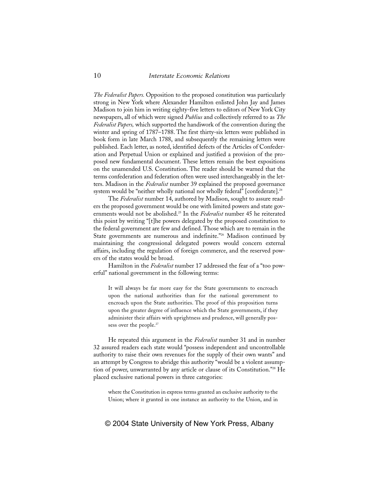*The Federalist Papers.* Opposition to the proposed constitution was particularly strong in New York where Alexander Hamilton enlisted John Jay and James Madison to join him in writing eighty-five letters to editors of New York City newspapers, all of which were signed *Publius* and collectively referred to as *The Federalist Papers,* which supported the handiwork of the convention during the winter and spring of 1787–1788. The first thirty-six letters were published in book form in late March 1788, and subsequently the remaining letters were published. Each letter, as noted, identified defects of the Articles of Confederation and Perpetual Union or explained and justified a provision of the proposed new fundamental document. These letters remain the best expositions on the unamended U.S. Constitution. The reader should be warned that the terms confederation and federation often were used interchangeably in the letters. Madison in the *Federalist* number 39 explained the proposed governance system would be "neither wholly national nor wholly federal" [confederate].<sup>24</sup>

The *Federalist* number 14, authored by Madison, sought to assure readers the proposed government would be one with limited powers and state governments would not be abolished.25 In the *Federalist* number 45 he reiterated this point by writing "[t]he powers delegated by the proposed constitution to the federal government are few and defined. Those which are to remain in the State governments are numerous and indefinite."26 Madison continued by maintaining the congressional delegated powers would concern external affairs, including the regulation of foreign commerce, and the reserved powers of the states would be broad.

Hamilton in the *Federalist* number 17 addressed the fear of a "too powerful" national government in the following terms:

It will always be far more easy for the State governments to encroach upon the national authorities than for the national government to encroach upon the State authorities. The proof of this proposition turns upon the greater degree of influence which the State governments, if they administer their affairs with uprightness and prudence, will generally possess over the people.<sup>27</sup>

He repeated this argument in the *Federalist* number 31 and in number 32 assured readers each state would "possess independent and uncontrollable authority to raise their own revenues for the supply of their own wants" and an attempt by Congress to abridge this authority "would be a violent assumption of power, unwarranted by any article or clause of its Constitution."28 He placed exclusive national powers in three categories:

where the Constitution in express terms granted an exclusive authority to the Union; where it granted in one instance an authority to the Union, and in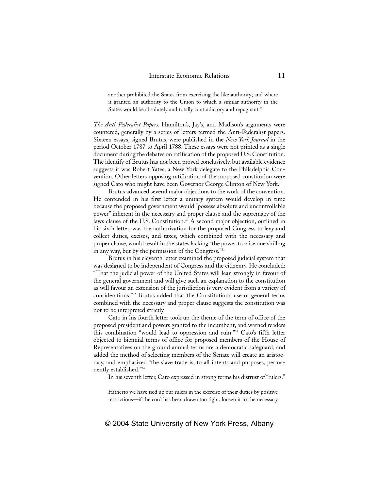another prohibited the States from exercising the like authority; and where it granted an authority to the Union to which a similar authority in the States would be absolutely and totally contradictory and repugnant.<sup>29</sup>

*The Anti-Federalist Papers.* Hamilton's, Jay's, and Madison's arguments were countered, generally by a series of letters termed the Anti-Federalist papers. Sixteen essays, signed Brutus, were published in the *New York Journal* in the period October 1787 to April 1788. These essays were not printed as a single document during the debates on ratification of the proposed U.S. Constitution. The identify of Brutus has not been proved conclusively, but available evidence suggests it was Robert Yates, a New York delegate to the Philadelphia Convention. Other letters opposing ratification of the proposed constitution were signed Cato who might have been Governor George Clinton of New York.

Brutus advanced several major objections to the work of the convention. He contended in his first letter a unitary system would develop in time because the proposed government would "possess absolute and uncontrollable power" inherent in the necessary and proper clause and the supremacy of the laws clause of the U.S. Constitution.<sup>30</sup> A second major objection, outlined in his sixth letter, was the authorization for the proposed Congress to levy and collect duties, excises, and taxes, which combined with the necessary and proper clause, would result in the states lacking "the power to raise one shilling in any way, but by the permission of the Congress."31

Brutus in his eleventh letter examined the proposed judicial system that was designed to be independent of Congress and the citizenry. He concluded: "That the judicial power of the United States will lean strongly in favour of the general government and will give such an explanation to the constitution as will favour an extension of the jurisdiction is very evident from a variety of considerations."32 Brutus added that the Constitution's use of general terms combined with the necessary and proper clause suggests the constitution was not to be interpreted strictly.

Cato in his fourth letter took up the theme of the term of office of the proposed president and powers granted to the incumbent, and warned readers this combination "would lead to oppression and ruin."33 Cato's fifth letter objected to biennial terms of office for proposed members of the House of Representatives on the ground annual terms are a democratic safeguard, and added the method of selecting members of the Senate will create an aristocracy, and emphasized "the slave trade is, to all intents and purposes, permanently established."34

In his seventh letter, Cato expressed in strong terms his distrust of "rulers."

Hitherto we have tied up our rulers in the exercise of their duties by positive restrictions—if the cord has been drawn too tight, loosen it to the necessary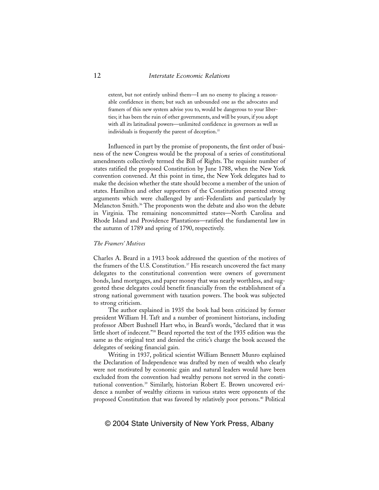extent, but not entirely unbind them—I am no enemy to placing a reasonable confidence in them; but such an unbounded one as the advocates and framers of this new system advise you to, would be dangerous to your liberties; it has been the ruin of other governments, and will be yours, if you adopt with all its latitudinal powers—unlimited confidence in governors as well as individuals is frequently the parent of deception.<sup>35</sup>

Influenced in part by the promise of proponents, the first order of business of the new Congress would be the proposal of a series of constitutional amendments collectively termed the Bill of Rights. The requisite number of states ratified the proposed Constitution by June 1788, when the New York convention convened. At this point in time, the New York delegates had to make the decision whether the state should become a member of the union of states. Hamilton and other supporters of the Constitution presented strong arguments which were challenged by anti-Federalists and particularly by Melancton Smith.<sup>36</sup> The proponents won the debate and also won the debate in Virginia. The remaining noncommitted states—North Carolina and Rhode Island and Providence Plantations—ratified the fundamental law in the autumn of 1789 and spring of 1790, respectively.

### *The Framers' Motives*

Charles A. Beard in a 1913 book addressed the question of the motives of the framers of the U.S. Constitution.<sup>37</sup> His research uncovered the fact many delegates to the constitutional convention were owners of government bonds, land mortgages, and paper money that was nearly worthless, and suggested these delegates could benefit financially from the establishment of a strong national government with taxation powers. The book was subjected to strong criticism.

The author explained in 1935 the book had been criticized by former president William H. Taft and a number of prominent historians, including professor Albert Bushnell Hart who, in Beard's words, "declared that it was little short of indecent."38 Beard reported the text of the 1935 edition was the same as the original text and denied the critic's charge the book accused the delegates of seeking financial gain.

Writing in 1937, political scientist William Bennett Munro explained the Declaration of Independence was drafted by men of wealth who clearly were not motivated by economic gain and natural leaders would have been excluded from the convention had wealthy persons not served in the constitutional convention.39 Similarly, historian Robert E. Brown uncovered evidence a number of wealthy citizens in various states were opponents of the proposed Constitution that was favored by relatively poor persons.<sup>40</sup> Political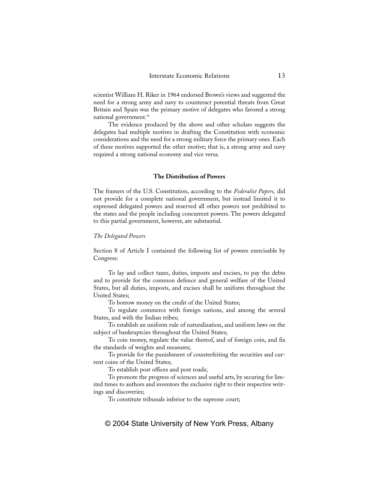scientist William H. Riker in 1964 endorsed Brown's views and suggested the need for a strong army and navy to counteract potential threats from Great Britain and Spain was the primary motive of delegates who favored a strong national government.<sup>41</sup>

The evidence produced by the above and other scholars suggests the delegates had multiple motives in drafting the Constitution with economic considerations and the need for a strong military force the primary ones. Each of these motives supported the other motive; that is, a strong army and navy required a strong national economy and vice versa.

### **The Distribution of Powers**

The framers of the U.S. Constitution, according to the *Federalist Papers,* did not provide for a complete national government, but instead limited it to expressed delegated powers and reserved all other powers not prohibited to the states and the people including concurrent powers. The powers delegated to this partial government, however, are substantial.

### *The Delegated Powers*

Section 8 of Article I contained the following list of powers exercisable by Congress:

To lay and collect taxes, duties, imposts and excises, to pay the debts and to provide for the common defence and general welfare of the United States, but all duties, imposts, and excises shall be uniform throughout the United States;

To borrow money on the credit of the United States;

To regulate commerce with foreign nations, and among the several States, and with the Indian tribes;

To establish an uniform rule of naturalization, and uniform laws on the subject of bankruptcies throughout the United States;

To coin money, regulate the value thereof, and of foreign coin, and fix the standards of weights and measures;

To provide for the punishment of counterfeiting the securities and current coins of the United States;

To establish post offices and post roads;

To promote the progress of sciences and useful arts, by securing for limited times to authors and inventors the exclusive right to their respective writings and discoveries;

To constitute tribunals inferior to the supreme court;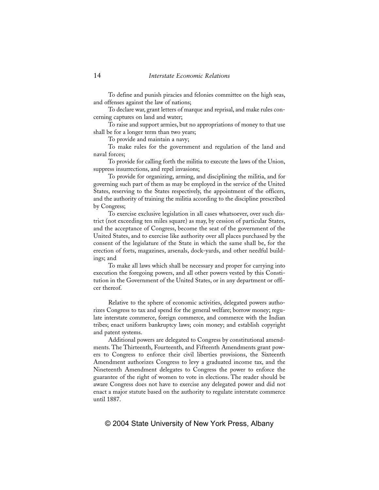To define and punish piracies and felonies committee on the high seas, and offenses against the law of nations;

To declare war, grant letters of marque and reprisal, and make rules concerning captures on land and water;

To raise and support armies, but no appropriations of money to that use shall be for a longer term than two years;

To provide and maintain a navy;

To make rules for the government and regulation of the land and naval forces;

To provide for calling forth the militia to execute the laws of the Union, suppress insurrections, and repel invasions;

To provide for organizing, arming, and disciplining the militia, and for governing such part of them as may be employed in the service of the United States, reserving to the States respectively, the appointment of the officers, and the authority of training the militia according to the discipline prescribed by Congress;

To exercise exclusive legislation in all cases whatsoever, over such district (not exceeding ten miles square) as may, by cession of particular States, and the acceptance of Congress, become the seat of the government of the United States, and to exercise like authority over all places purchased by the consent of the legislature of the State in which the same shall be, for the erection of forts, magazines, arsenals, dock-yards, and other needful buildings; and

To make all laws which shall be necessary and proper for carrying into execution the foregoing powers, and all other powers vested by this Constitution in the Government of the United States, or in any department or officer thereof.

Relative to the sphere of economic activities, delegated powers authorizes Congress to tax and spend for the general welfare; borrow money; regulate interstate commerce, foreign commerce, and commerce with the Indian tribes; enact uniform bankruptcy laws; coin money; and establish copyright and patent systems.

Additional powers are delegated to Congress by constitutional amendments. The Thirteenth, Fourteenth, and Fifteenth Amendments grant powers to Congress to enforce their civil liberties provisions, the Sixteenth Amendment authorizes Congress to levy a graduated income tax, and the Nineteenth Amendment delegates to Congress the power to enforce the guarantee of the right of women to vote in elections. The reader should be aware Congress does not have to exercise any delegated power and did not enact a major statute based on the authority to regulate interstate commerce until 1887.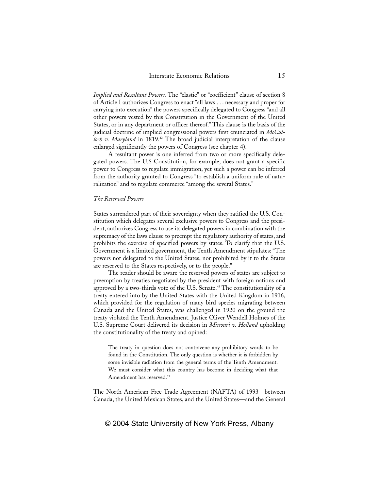### Interstate Economic Relations 15

*Implied and Resultant Powers.* The "elastic" or "coefficient" clause of section 8 of Article I authorizes Congress to enact "all laws . . . necessary and proper for carrying into execution" the powers specifically delegated to Congress "and all other powers vested by this Constitution in the Government of the United States, or in any department or officer thereof." This clause is the basis of the judicial doctrine of implied congressional powers first enunciated in *McCulloch v. Maryland* in 1819.<sup>42</sup> The broad judicial interpretation of the clause enlarged significantly the powers of Congress (see chapter 4).

A resultant power is one inferred from two or more specifically delegated powers. The U.S Constitution, for example, does not grant a specific power to Congress to regulate immigration, yet such a power can be inferred from the authority granted to Congress "to establish a uniform rule of naturalization" and to regulate commerce "among the several States."

### *The Reserved Powers*

States surrendered part of their sovereignty when they ratified the U.S. Constitution which delegates several exclusive powers to Congress and the president, authorizes Congress to use its delegated powers in combination with the supremacy of the laws clause to preempt the regulatory authority of states, and prohibits the exercise of specified powers by states. To clarify that the U.S. Government is a limited government, the Tenth Amendment stipulates: "The powers not delegated to the United States, nor prohibited by it to the States are reserved to the States respectively, or to the people."

The reader should be aware the reserved powers of states are subject to preemption by treaties negotiated by the president with foreign nations and approved by a two-thirds vote of the U.S. Senate.<sup>43</sup> The constitutionality of a treaty entered into by the United States with the United Kingdom in 1916, which provided for the regulation of many bird species migrating between Canada and the United States, was challenged in 1920 on the ground the treaty violated the Tenth Amendment. Justice Oliver Wendell Holmes of the U.S. Supreme Court delivered its decision in *Missouri v. Holland* upholding the constitutionality of the treaty and opined:

The treaty in question does not contravene any prohibitory words to be found in the Constitution. The only question is whether it is forbidden by some invisible radiation from the general terms of the Tenth Amendment. We must consider what this country has become in deciding what that Amendment has reserved.<sup>44</sup>

The North American Free Trade Agreement (NAFTA) of 1993—between Canada, the United Mexican States, and the United States—and the General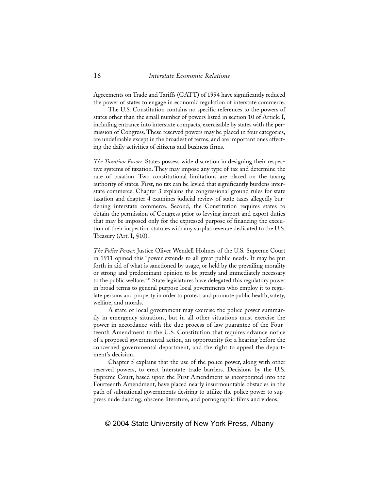Agreements on Trade and Tariffs (GATT) of 1994 have significantly reduced the power of states to engage in economic regulation of interstate commerce.

The U.S. Constitution contains no specific references to the powers of states other than the small number of powers listed in section 10 of Article I, including entrance into interstate compacts, exercisable by states with the permission of Congress. These reserved powers may be placed in four categories, are undefinable except in the broadest of terms, and are important ones affecting the daily activities of citizens and business firms.

*The Taxation Power.* States possess wide discretion in designing their respective systems of taxation. They may impose any type of tax and determine the rate of taxation. Two constitutional limitations are placed on the taxing authority of states. First, no tax can be levied that significantly burdens interstate commerce. Chapter 3 explains the congressional ground rules for state taxation and chapter 4 examines judicial review of state taxes allegedly burdening interstate commerce. Second, the Constitution requires states to obtain the permission of Congress prior to levying import and export duties that may be imposed only for the expressed purpose of financing the execution of their inspection statutes with any surplus revenue dedicated to the U.S. Treasury (Art. I, §10).

*The Police Power.* Justice Oliver Wendell Holmes of the U.S. Supreme Court in 1911 opined this "power extends to all great public needs. It may be put forth in aid of what is sanctioned by usage, or held by the prevailing morality or strong and predominant opinion to be greatly and immediately necessary to the public welfare."45 State legislatures have delegated this regulatory power in broad terms to general purpose local governments who employ it to regulate persons and property in order to protect and promote public health, safety, welfare, and morals.

A state or local government may exercise the police power summarily in emergency situations, but in all other situations must exercise the power in accordance with the due process of law guarantee of the Fourteenth Amendment to the U.S. Constitution that requires advance notice of a proposed governmental action, an opportunity for a hearing before the concerned governmental department, and the right to appeal the department's decision.

Chapter 5 explains that the use of the police power, along with other reserved powers, to erect interstate trade barriers. Decisions by the U.S. Supreme Court, based upon the First Amendment as incorporated into the Fourteenth Amendment, have placed nearly insurmountable obstacles in the path of subnational governments desiring to utilize the police power to suppress nude dancing, obscene literature, and pornographic films and videos.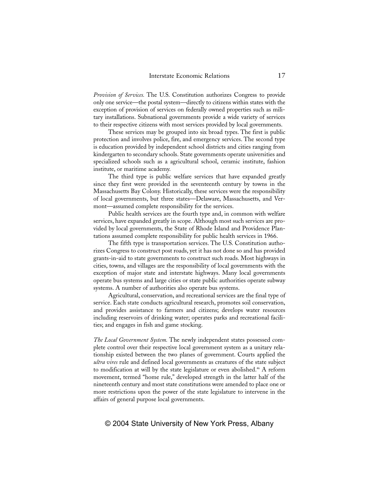*Provision of Services.* The U.S. Constitution authorizes Congress to provide only one service—the postal system—directly to citizens within states with the exception of provision of services on federally owned properties such as military installations. Subnational governments provide a wide variety of services to their respective citizens with most services provided by local governments.

These services may be grouped into six broad types. The first is public protection and involves police, fire, and emergency services. The second type is education provided by independent school districts and cities ranging from kindergarten to secondary schools. State governments operate universities and specialized schools such as a agricultural school, ceramic institute, fashion institute, or maritime academy.

The third type is public welfare services that have expanded greatly since they first were provided in the seventeenth century by towns in the Massachusetts Bay Colony. Historically, these services were the responsibility of local governments, but three states—Delaware, Massachusetts, and Vermont—assumed complete responsibility for the services.

Public health services are the fourth type and, in common with welfare services, have expanded greatly in scope. Although most such services are provided by local governments, the State of Rhode Island and Providence Plantations assumed complete responsibility for public health services in 1966.

The fifth type is transportation services. The U.S. Constitution authorizes Congress to construct post roads, yet it has not done so and has provided grants-in-aid to state governments to construct such roads. Most highways in cities, towns, and villages are the responsibility of local governments with the exception of major state and interstate highways. Many local governments operate bus systems and large cities or state public authorities operate subway systems. A number of authorities also operate bus systems.

Agricultural, conservation, and recreational services are the final type of service. Each state conducts agricultural research, promotes soil conservation, and provides assistance to farmers and citizens; develops water resources including reservoirs of drinking water; operates parks and recreational facilities; and engages in fish and game stocking.

*The Local Government System.* The newly independent states possessed complete control over their respective local government system as a unitary relationship existed between the two planes of government. Courts applied the *ultra vires* rule and defined local governments as creatures of the state subject to modification at will by the state legislature or even abolished.<sup>46</sup> A reform movement, termed "home rule," developed strength in the latter half of the nineteenth century and most state constitutions were amended to place one or more restrictions upon the power of the state legislature to intervene in the affairs of general purpose local governments.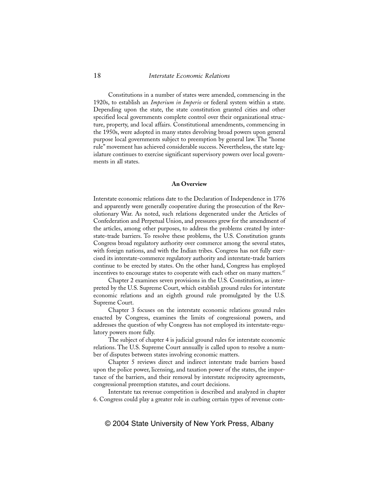Constitutions in a number of states were amended, commencing in the 1920s, to establish an *Imperium in Imperio* or federal system within a state. Depending upon the state, the state constitution granted cities and other specified local governments complete control over their organizational structure, property, and local affairs. Constitutional amendments, commencing in the 1950s, were adopted in many states devolving broad powers upon general purpose local governments subject to preemption by general law. The "home rule" movement has achieved considerable success. Nevertheless, the state legislature continues to exercise significant supervisory powers over local governments in all states.

### **An Overview**

Interstate economic relations date to the Declaration of Independence in 1776 and apparently were generally cooperative during the prosecution of the Revolutionary War. As noted, such relations degenerated under the Articles of Confederation and Perpetual Union, and pressures grew for the amendment of the articles, among other purposes, to address the problems created by interstate-trade barriers. To resolve these problems, the U.S. Constitution grants Congress broad regulatory authority over commerce among the several states, with foreign nations, and with the Indian tribes. Congress has not fully exercised its interstate-commerce regulatory authority and interstate-trade barriers continue to be erected by states. On the other hand, Congress has employed incentives to encourage states to cooperate with each other on many matters.<sup>47</sup>

Chapter 2 examines seven provisions in the U.S. Constitution, as interpreted by the U.S. Supreme Court, which establish ground rules for interstate economic relations and an eighth ground rule promulgated by the U.S. Supreme Court.

Chapter 3 focuses on the interstate economic relations ground rules enacted by Congress, examines the limits of congressional powers, and addresses the question of why Congress has not employed its interstate-regulatory powers more fully.

The subject of chapter 4 is judicial ground rules for interstate economic relations. The U.S. Supreme Court annually is called upon to resolve a number of disputes between states involving economic matters.

Chapter 5 reviews direct and indirect interstate trade barriers based upon the police power, licensing, and taxation power of the states, the importance of the barriers, and their removal by interstate reciprocity agreements, congressional preemption statutes, and court decisions.

Interstate tax revenue competition is described and analyzed in chapter 6. Congress could play a greater role in curbing certain types of revenue com